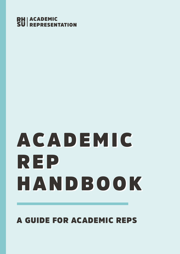### **RH** ACADEMIC<br>SU REPRESEN **NTATION**

# ACADEMIC ACADEMIC REP REP HANDBOOK HANDBOOK

# A GUIDE FOR ACADEMIC REPS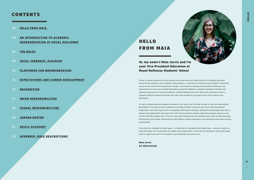- 03 HELLO FROM MAIA
- 04 AN INTRODUCTION TO ACADEMIC [REPRESENTATION AT ROYAL HOLLOWAY](#page-2-0)
- 07 [THE ROLES](#page-3-0)
- 09 [VOICE, FEEDBACK, DIALOGUE](#page-4-0)
- 13 [PLATFORMS FOR REPRESENTATION](#page-6-0)
- 15 [EXPECTATIONS AND CAREER DEVELOPMENT](#page-7-0)
- 16 [RECOGNITION](#page-8-0)
- 17 [UNION RESPONSIBILITIES](#page-8-0)
- 18 [SCHOOL RESPONSIBILITIES](#page-9-0)
- 20 [JARGON BUSTER](#page-10-0)
- 21 [SKILLS GLOSSARY](#page-10-0)
- 22 [APPENDIX: ROLE DESCRIPTIONS](#page-11-0)

### CONTENTS

# HELLO FROM MAIA

Hi, my name's Maia Jarvis and I'm your Vice President Education at Royal Holloway Students' Union!

**I'd like to warmly welcome all of you joining us this year and say a huge thank you for putting yourselves forward to be academic reps! Academic representation is a vital part of improving every student's experience and all of you will have the opportunity to make a real impact on teaching and learning at Holloway: past achievements of reps have included extending coursework deadlines, changing assessment methods and organising lectures from external academics. Student feedback has never been more important as we reevaluate COVID-19 measures and with your help, we'll be able to put student voice at the centre of key discussions.**

**As well as representing the academic interests of your peers, you'll be able to work on your own professional development. This year we have a plethora of exciting activities in store as part of our Rep Development Programme: we'll cover topics such as navigating staff/student meetings, utilising the transferable skills you've gained in job applications and much more. We'll also be hosting LinkedIn networking sessions where you can connect with like-minded reps! I'd love for you to get involved with my manifesto aims which include reviewing the Personal Tutor system, improving the Joint Honours student experience, and introducing more peer learning opportunities.** 

**If you have any thoughts on these topics - or would like to contribute other bright ideas – just get in touch via email and follow me on Instagram for updates (@rhsueducation). If ever have any questions, the SU are always here to support you and I'm so excited to work alongside you all this year!**

Maia Jarvis VP EDUCATION



M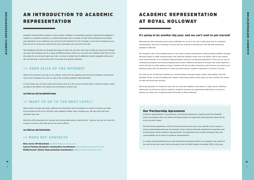# <span id="page-2-0"></span>AN INTRODUCTION TO ACADEMIC REPRESENTATION

**Academic representation happens in lots of places. Whether it's attending meetings, listening and engaging in student-run academic seminars, or chatting informally with a member of staff, this all influences and shapes your education. As an academic rep, you'll be at the forefront of a lot of change, so we want to prepare you as best we can to ensure you, and by proxy your classmates, get a lot out of the role.**

**This handbook will take you through the basics of each role, give you some tips to help you secure the changes you want and introduce you to a range of different spaces where you can exert your influence. But this isn't the only place for you to learn about your role - we have a whole host of additional content available online, and you can also pop in and see the team if you have any specific questions.**

### >> YOUR SLICE OF THE INTERNET

**Head to the academic rep hub on our website, which we'll be updating with resources, briefings, training and much more throughout the year, as well as the monthly Academic Rep Newsletter.**

**It's also where you can tell us what you've been up to as a rep so we can shout about it and just maybe, award you Rep of the Month! Just head to the link below to check it out.**

#### su.rhul.ac.uk/academicreps

#### >> WANT TO GO TO THE NEXT LEVEL?

 $\overline{5}$ 

**Want to drive change and make a difference by being the voice of students on campus? Anyone can stand to be elected for one of our full-time, paid sabbatical officer roles, including you. We also elect part-time volunteer roles too!**

**Elections will be opening up in January with voting taking place in Spring Term – keep an eye out for more info, or pop in to have a chat with any of our current officers.**

#### su.rhul.ac.uk/elections

#### >> RHSU KEY CONTACTS

Maia Jarvis (VP Education) vpeducation@su.rhul.ac.uk

Lauryn Fleming (Academic Communities Coordinator) lauryn.fleming@su.rhul.ac.uk Phillip Dowler (Senior Representation Coordinator) phillip.dowler@su.rhul.ac.uk

#### Our Partnership Agreement

**Academic representation is governed by a Partnership Agreement, signed by both the Students' Union and College, which sits within the Memorandum of Cooperation (that basically, allows the SU to do the stuff it does).**

,,,,,,,,,,,,,,,,,,,,,,,,,,,,,,,,,,,,,,

**The Partnership Agreement, which can be found on the rep hub on our website, aims to ensure a strong understanding between the Students' Union and the University regarding the expected roles of both parties within academic representation. The agreement also includes proposed roles and responsibilities for all levels of academic representatives.**

**It is highly recommended that you read through the agreement before you engage in the system at the start of the term, and it will be included in the first Staff-Student Committee (SSC) of the year.**

# ACADEMIC REPRESENTATION AT ROYAL HOLLOWAY

#### It's going to be another big year, and we can't wait to get started!

**Although last year presented some major challenges for us all, it was still a really great year for academic representation and we are working to ensure that we continue to provide you with the best experience possible in 2021/22.**

**This academic year, we're bringing back our fun online training and fantastic communications platform through Microsoft Teams to make communication with staff and students easier than ever before. We're also making some improvements to our Academic Representation system by introducing specialisms. These are our way of empowering students from diverse backgrounds to give a different perspective through their lived experience which will help to create positive change. Students will also be able to become a joint honours rep and we are working closely with the University to make sure joint honours students' experience is the best it can be.**

**For staff, we are continuing to tighten our communications through regular contact and updates from the Students' Union, as well as holding semi-regular networking sessions which gives our key contacts the chance to meet and share best practice.**

**We've got big plans for things this year and we know that together, we'll make it a huge success. Working collectively, we will ensure that all students' academic interests are represented effectively as we look to achieve our wider aim of making student life better at Royal Holloway.**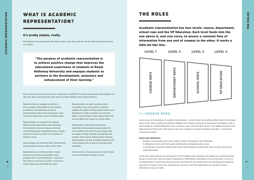### <span id="page-3-0"></span>WHAT IS ACADEMIC REPRESENTATION?

#### It's pretty simple, really.

**The definition we've agreed with the College, which nicely aligns with the new UK Code for Quality Assurance, is as follows:**

"The purpose of academic representation is to achieve positive change that improves the educational experience of students at Royal Holloway University and engages students as partners in the development, assurance and enhancement of their learning."

**Representatives are engaged as partners in the co-creation of developments and solutions to problems. The relationship should be transformational rather than transactional, which will lead to greater buy-in from the student body.**

**Representatives are involved in an ongoing dialogue about opportunities (and challenges) that provide the chance to educate and build understanding about competing interests, multiple demands on resources and/or the complexity of particular issues.**

**Representatives are utilised to foster and build that understanding among the wider student body.**

**Representatives are willing and able to build pressure and enhance accountability where problems aren't resolved effectively – using all of their influence and access to power structures to create change that will benefit their peers.**

**Representatives are able to provide context surrounding issues and problems, helping to establish the depth of feelings about certain issues. Sometimes it's right to prioritise the issue that affects a small number of peers deeply rather than one that affects the majority to a lesser extent.**

**Representative roles provide outstanding leadership and development opportunities. For some students, this will be their first opportunity to engage in formal meetings, read agendas and minutes, and to seek to influence policy decisions. These positions can help to develop leadership and communication skills as well as encourage active citizenship.**

**You'll see later on how everyone has a part to play to ensure that these principles are met.**

**We've also got a set of principles that sit underneath our definition to ensure that academic representation can add value above and beyond the other forms of student feedback seen at Royal Holloway.**

### THE ROLES

Academic representation has four levels: course, department, school reps and the VP Education. Each level feeds into the one above it, and vice versa, to ensure a constant flow of information from one end of campus to the other. It works a little bit like this:



### >> COURSE REPS

**Course reps are the backbone of academic representation - we just couldn't do anything without them! As the largest group of reps, they're tasked with gathering feedback from students, doing the on-the-ground investigative work to make change at a module/programme level. In previous years, reps have done all sorts, from getting assessment due dates moved to having more staff resources put into a module so everyone interested could take it - and this just scratches the surface.**

#### Course reps should have:

- **Excellent communication skills and an ability to listen and represent views effectively.**
- **A willingness to learn and build a good understanding of education policy issues.**
- **A commitment to diversity, equality and inclusion and willingness to proactively seek out voices that may be underrepresented.**

**Course reps should regularly be reaching out to all the students they represent, and engage with underrepresented groups to ensure their voices are heard. Preparation for Staff-Student Committees (more on that later) is crucial to the effectiveness of course reps and ensures that you'll head into the meeting with a well-developed and balanced argument for change. Course reps should also be checking in with their department rep regularly to ensure information is kept up to date.**

 $\blacktriangleright$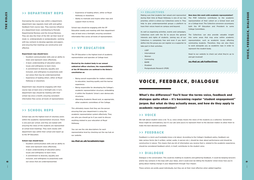#### <span id="page-4-0"></span>>> DEPARTMENT REPS

**Overseeing the course reps within a department, department reps regularly meet with and gather feedback from course reps. They exercise influence at a department level, contributing to Periodic Departmental Reviews and the Annual Reviews. They are also the Chair of the SSC (at their level of study i.e. undergraduate or postgraduate), working with key contacts to develop agendas and papers, and ensuring that meetings are constructive and effective.** 

#### Department reps should have:

- **Excellent communication skills and an ability to listen and represent views effectively.**
- **A basic understanding of education policy issues and willingness to learn more.**
- **A commitment to diversity, equality and inclusion, and willingness to proactively seek out voices that may be underrepresented.**
- **Experience of leading others, either at Royal Holloway or elsewhere.**

**Department reps should be engaging with their course reps at least once a fortnight and, in turn, department reps should be meeting with their school rep once a month, ensuring consistent information flow across all levels of representation.**

#### >> SCHOOL REPS

**School reps are the highest level of voluntary posts within the academic representation structure. There is one post per school, and they are tasked with ensuring the views of the students are represented at school level meetings. They work closely with department reps within their school and report up to the VP Education.** 

#### School reps should have:

<u>თ</u>

- **Excellent communication skills and an ability to listen and represent views effectively.**
- **A basic understanding of education policy issues and willingness to learn more.**
- **A commitment to diversity, equality and inclusion, and willingness to proactively seek out voices that are underrepresented.**
- **Experience of leading others, either at Royal Holloway or elsewhere.**
- **Ability to motivate and inspire other reps and support them to thrive.**

**School reps should be engaging with the VP Education weekly and meeting with their department reps at least once a fortnight, ensuring consistent information flow across all levels of representation.**

#### >> VP EDUCATION

**The VP Education is the highest level of academic representation and operates at College level.** 

Elected by the student body in our annual sabbatical officer elections, the responsibilities of the VP Education are outlined in the Union's constitution as:

- **Being overall responsible for matters relating to education, teaching quality and the learner experience.**
- **Being responsible for developing the College's academic representation structure, embedding it within the Students' Union's own democratic structures.**
- **Attending Academic Board and, as appropriate, other academic committees of the College.**

**This ultimately means that they are the person ensuring that your department is using the academic representation system effectively. They are who you should go to if you want to discuss anything related to your education at Royal Holloway.**

**You can see the role descriptions for each representative level by checking out the rep hub on our website.**

#### su.rhul.ac.uk/academicreps

### VOICE, FEEDBACK, DIALOGUE

What's the difference? You'll hear the terms voice, feedback and dialogue quite often – it's becoming regular "student engagement" jargon. But what do they actually mean, and how do they apply to academic representation?

#### >> VOICE

**We talk about student voice a lot. To us, voice simply means the views of the students as a collective. Sometimes these might be contradictory, but it's our job (and yours) to represent them to the decision makers to allow them to make the best decisions possible.**

#### >> FEEDBACK

**Feedback is a term you'll probably know a lot about. According to the College's feedback policy, feedback can take various forms (be it written, verbal, audio, in person etc.), should be clear about performance and should be constructive in nature. This means that any bit of information you receive that is, related to the academic experience, should be considered feedback which, in itself, contributes to the student voice.**

#### >> DIALOGUE

**Dialogue is the conversation. This could be chatting to students and gathering feedback, it could be keeping lecturers and/or key contacts in the loop with your ideas, and it could even be letting the Students' Union know how you're going about making change in your department through Your Impact.**

**These actions are pretty good individually, but they are at their most effective when added together.**

#### >> COLLECTIVES

**Making sure that students feel valued and represented**  How does this work with academic representation? **during their time at Royal Holloway is one of our top The PGR Collective contributes to the academic priorities, which is where our Collectives come in. They representation of their cohort on a School level and help to give underrepresented groups a platform to on a College level. The Collective convenors accompany have their voices heard on campus and beyond.**

**As well as organising activities, events and campaigns, Collectives work with the SU to secure the general The Collectives can also provide valuable insight**  interests and rights of students. Joining any of our into some areas that may arise within academic **Collectives is completely free and even if you don't representation, such as academic issues affecting define into the group you can register as a supporter to commuting students. Therefore, they are also there take part in their activities.**

- **LGBT**
- **International**
- **Women**
- **Commuting** • **BAME**

- **Disabled**
- **Postgraduate Research (PGR)**

**both the VP Education and President to some College Committees.**

**to work alongside you as academic reps in order to represent the student body.**

**Head to our website to check out what they're up to and get involved!**

su.rhul.ac.uk/collectives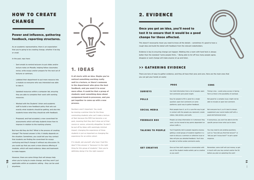10



# HOW TO CREATE CHANGE

### Power and influence, gathering feedback, reporting structures.

**As an academic representative, there is an expectation that you're going to be creating change, whether it be big or small.**

**In the past, reps have:**

- **Sent emails to remind lecturers to put slides and/or lecture notes on Moodle, helping fellow classmates revise, write essays and/or prepare for the next set of lectures or seminars.**
- **Lobbied their department to put more resource into a module so everyone who was interested was able to take it.**
- **Updated resources within a computer lab, ensuring they are able to complete their work with working resources.**
- **Worked with the Students' Union and academic staff to build a new feedback policy that sets out exactly what students should be getting, and also lets students know what they should do with feedback.**
- **Proposed, and had accepted, a new coversheet for assessments which will help students know how to improve in relation to the marking scheme.**

**But how did they do this? What is the process of creating change? The honest answer is this: it totally depends on the situation. Sometimes, you could tell your key contact that students are finding the coversheet for essays confusing and they'll change it without any discussion. Or, you could say that you want a more diverse offering of modules, which will need evidence, ideas and teamwork to make happen.**

**However, there are some things that will always help when you're trying to create change, and they aren't just applicable within an academic setting - they can be used anywhere.**

### 1. IDEAS

It all starts with an idea. Maybe you've noticed something working really well in a lecture, or there's someone in the department who gives the best feedback, and you want it to occur more often. It could be that a group of students want something done about assignment hand-in processes, and you get together to come up with a new process.

**Numbers aren't important. You could be moving a seminar time for the three commuting students who can't make a lecture at 9am because the M25 has become a car park, meaning that they don't drop out of that course or, worse, university altogether. So don't be put off by ideas with seemingly minimal impact; changing the experience of three students is just as important as changing the experience for an entire cohort.**

**If in doubt, ask yourself: why have I had this idea? If the answer is "because it is the right thing for this group of students," then you're definitely doing it for the right reasons!**

### 2. EVIDENCE

### Once you get an idea, you'll need to test it to ensure that it would be a good change for those affected.

**This doesn't necessarily mean you need to know all the details – sometimes it's good to have a rough idea and build the detail with feedback from the relevant stakeholders.**

**Evidence is key to ensuring change can happen. Walking into a room with hard facts is always better than the standard "some people think…". Being able to list off how many people agree, disagree or want change will make anyone sit up and listen.**

### >> GATHERING EVIDENCE

**There are tons of ways to gather evidence, and they all have their pros and cons. Here are the main ones that you can get your hands on easily:**

|                          | <b>PROS</b>                                                                                                                                                                                                                                                | <b>CONS</b>                                                                                                                                     |
|--------------------------|------------------------------------------------------------------------------------------------------------------------------------------------------------------------------------------------------------------------------------------------------------|-------------------------------------------------------------------------------------------------------------------------------------------------|
| <b>SURVEYS</b>           | Can hold information from a lot of people; open<br>text comments give great insight.                                                                                                                                                                       | Timing is key - avoid using surveys in Spring<br>Term as there is the possibility of overload.                                                  |
| <b>POLLS</b>             | Easy for people to fill in; great for a single<br>question; open text comments on some<br>platforms; quick way to gather feedback.                                                                                                                         | Not good for a complex issue; might not be<br>able to include an open text comment.                                                             |
| <b>SOCIAL MEDIA</b>      | Most people have it, so it's a sure-fire way to get<br>in contact with the people you represent; create<br>videos, take photos, post polls.                                                                                                                | Not everyone has it, so it's best to always<br>supplement your social media stuff with a<br>good old-fashioned email.                           |
| <b>FEEDBACK BOX</b>      | People can drop information in it whenever they<br>want; can be moved to key points dependent on<br>where traffic is.                                                                                                                                      | If anonymous, you won't be able to let the<br>specific person know what you've done.                                                            |
| <b>TALKING TO PEOPLE</b> | You'll hopefully talk to people regularly anyway;<br>getting a small groups of students together in a<br>room to discuss a common or collective issue or<br>idea will give you detailed feedback. You'll also<br>be able to further probe comments easily. | You may need to ask probing questions,<br>such as "how did you find that lecture?" or<br>"did you get X essay back?" to get a good<br>response. |
| <b>GET CREATIVE</b>      | Give out free stuff; organise a conversation with<br>one of the student media outlets; get as creative<br>as you want!                                                                                                                                     | Remember, some stuff will cost money, so get<br>in touch with your key contact and/or the SU<br>before you plan on splashing the cash!          |

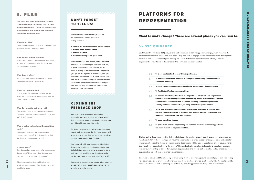#### DON'T FORGET TO TELL US!

**We love hearing about what you get up to, and there's a simple process to letting us know:**

1. Head to the academic rep hub on our website.

- 2. Hit the 'Your Impact' button.
- 3. Fill out the form.
- 4. Celebrate doing some great stuff!

**We want to hear about everything! Whether that's about the email you sent to a lecturer, a quick conversation in a corridor, or the start of a long-term conversation – anything you get on the agenda is important, and you should be recognised for it! We'll collate these and write regular Rep Impact Updates for the website to let students know how great you are, and we may even feature some in the Academic Rep Newsletter.**

### <span id="page-6-0"></span>3. PLAN

The final and most important stage of creating change: planning. Yes, it's not glamorous but it's crucial to the success of any stage. You should ask yourself the following questions:

#### What is my idea?

**You should know exactly what your idea is, and what you want to do to get there.**

#### Why am I actioning this idea?

**Just as important as knowing what your idea is, being able to answer why will make your campaign even stronger.**

#### Who does it affect?

**Is it commuting students? Mature students? Knowing your audience is crucial.**

#### When do I want to do it?

**Timing is key. Do you want to run a survey when the University are running one? Will the impact be felt in time?**

#### Who do I want to get involved?

**Who will be helping you to make the change? The other reps in your department? The school rep? A staff member?**

#### Who is going to be doing the resulting work?

**Will your department have to make big changes to a course? Or is it something that the Students' Union needs to do?**

#### Is there a cost?

**Cost doesn't just mean money. What resources do you need? How much time does anyone involved need to put into the project?** 

**If in doubt, contact Lauryn Fleming, our Academic Communities Coordinator, who will be able to help.**

### CLOSING THE FEEDBACK LOOP

**Within your role, communication is key, especially once you've done something great. This is called closing the feedback loop, and you can think of it as a nice little cycle.**

**By doing this once, the cycle will continue to go round, as the more you do, the more people will want to talk to you! How do you ensure students see the end result of their feedback?** 

**You can work with your department to do this. They might be able to send out emails on your behalf, letting students know what you've done, or they might be able to put it on their social media (you can use your own too, if you wish).** 

**And, most importantly, you should let us know so we can tell as many people as possible via our website and social media!**

#### >> SSC GUIDANCE

**Staff-Student Committees (SSC) are just one platform aimed at achieving positive change, which improves the educational experience for you and your peers. They also seek to engage you as course reps in the development, assurance and enhancement of your learning. To ensure that there is consistency and efficacy across all departments, a new Terms of Reference for the committee has been created:**

**Chaired by the department rep (for their level of study), the meeting should have all course reps and several key members of staff in the room. Reps will have the opportunity to provide a report of the good parts and areas for improvement across the degree programmes, and departments will be able to update you on any developments that have been happening behind the scenes. This meeting is also the place to look at more strategic elements like curriculum building or career development opportunities, and should look at creating lasting impact through opportunities for both sets of members to collaborate.**

**One word of advice on SSCs: please try to avoid using them as a dumping ground for small gripes as it risks losing its platform as a place of influence. Remember that these meetings provide great opportunities for you to provide positive feedback, as well as enabling you to think big about suggestions for change and improvement.**

and escalating any outstanding

department's Annual Review.

tment which reflects on previous ning weeks. It may include updates arning and teaching methods, ider College information.

department rep. It may include resource issues, assessment and

 $\boldsymbol{u}$ 

# PLATFORMS FOR REPRESENTATION

#### Want to make change? There are several places you can turn to.

| 1.0 | To close the feedback loop within departments.                                                                                                                                                        |
|-----|-------------------------------------------------------------------------------------------------------------------------------------------------------------------------------------------------------|
| 1.1 | To review actions from previous meetings and e<br>actions as necessary.                                                                                                                               |
| 1.2 | To track the development of actions in the depa                                                                                                                                                       |
| 2.0 | To facilitate effective communications.                                                                                                                                                               |
| 2.1 | To receive a verbal update from the department<br>weeks as well as looking ahead to forthcoming<br>on resources, assessment and feedback, learnin<br>activity updates, opportunities, and any wider C |
| 2.2 | To receive a verbal update collated by the depar<br>positive feedback on what is working well, reso<br>feedback, learning and teaching methods.                                                       |

- To secure positive change. 3.0
- To provide an explicit opportunity for staff and students to make suggestions for improvement to departmental life. 3.1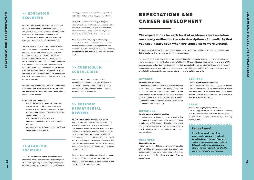#### OCTOBER

#### Academic Rep Induction.

**If you're reading this, it's likely that you are currently in, or have recently been to, this session. You should have learnt the basics of being a rep and met some great people in the process. If you have questions or didn't attend this session, contact the Academic Communities Coordinator whose details can be found on page four of this handbook.**

#### NOVEMBER

#### How to navigate a typical meeting.

**If you have seen the jargon buster at the back of this handbook, you might be wondering how it all looks in a real meeting. This session will explain these terms in more detail and you will get an opportunity to practice chairing a meeting to help you prepare for the year ahead.** 

#### DECEMBER

#### Student Networks.

**In this session, you will learn more about the benefits of networking with others, making the most of the support system you have around you, and how to promote wellbeing for others and yourself as an academic rep.**

#### JANUARY

#### Current Higher Education Policies

**This workshop will give you a chance to explore some of the current policies and headlines in Higher Education and start up conversations which would be useful to have as a rep or if you are interested in working in Higher Education.**

#### APRIL

#### Careers and Employability Workshop.

**This is an opportunity to reflect on the year, identify your transferable skills and build this into your CV, as well as think about where to take your rep expertise next.**

### <span id="page-7-0"></span>>> EDUCATION EXECUTIVE

**Education Executive forms part of our democratic structure. Alongside the Wellbeing, Community and Diversity, and Societies, Sports & Opportunities Executives, it is designed for students to raise thoughts and ideas related to the remit of each Executive, through its elected representatives.** 

**The Executives are chaired by a sabbatical officer and consist of student leaders from various areas. For example, the Education Executive is chaired by the VP Education, and is comprised of the President and VP Wellbeing and Diversity, one representative from each School, the PGR Collective, the Commuting Collective, and the postgraduate taught (PGT) community. Membership of Education Executive is part of these student leaders' roles. If you'd like to get involved in setting the agenda, you can talk to your school rep, and look out for updates on the SU website.**

**Education Executive provides a brilliant opportunity for student representatives to network, talk about key themes within higher education, create actions and, ultimately, change.** 

#### In previous years, we have:

- **Helped the library to create 120 more study spaces, increasing the signage in the silent study space, and re-recruiting the Study Space Assistant to ensure bags weren't being left for longer than 45 minutes.**
- **Had direct input into the Academic Representation Review to better the provision for reps.**
- **Approved new role descriptions for course and department representatives.**

### >> ACADEMIC SOCIETIES

**Academic societies are a great network to meet likeminded people and have some fun while you're at it! From organising debates and guest speakers, to some having a place on your SSC, societies open**  **up many opportunities for you to engage with a wider spread of people within your department.**

**Work with the academic society within your department to see whether there is a space where you can ask their members questions about their experiences during their degree. Or maybe you could collaborate with them to run an event?** 

**As a Union, we're also going to be working on the relationship between academic societies and academic representation to strengthen the role societies play within the system. If you're interested, drop** voice@su.rhul.ac.uk **a line and we'll get back to you!**

### >> CURRICULUM CONSULTANTS

**This voluntary position puts reps on the final validation panel before a new course/module or degree programme is put out into the big, wide world. Your VP Education will be in touch when a validation panel is coming up.** 

### >> PERIODIC DEPARTMENTAL REVIEWS

**Periodic Departmental Reviews, or PDRs for short, happen every year and can either be done in specific departments or across the institution, focusing on a specific theme (like assessment and feedback). They involve reading through all of the paperwork produced throughout the period of time since the previous PDR, and deciding areas for improvement, places for commendation and action plans for the coming years. They'll be scrutinised by a panel of internal and external members, including the VP Education.**

**The department rep will be asked to write a report for the panel, with input from course reps as a student submission, and reps should also be invited to have a chat with the panel too.** 

# EXPECTATIONS AND CAREER DEVELOPMENT

### The expectations for each level of academic representation are clearly outlined in the role descriptions (Appendix A) that you should have seen when you signed up or were elected.

**They are also available on the academic rep hub on our website. You should refer to the 'Responsibilities and Duties' section for the elements we expect you to undertake.**

**In return, it's only right that you should have expectations of the Students' Union. As part of undertaking the role of an academic rep, you'll gain a myriad of different skills that will prepare you for various elements of life post-graduation by just doing the bare minimum that we require. But we want to provide you with even more opportunities to boost your skills, and create some change while you're at it! So we're developing a year-round plan full of training activities that you can attend in order to build up your skills.**

#### Let us know!

**This is the skeleton framework for development across this year and we'll be looking to run some one-off events in relation to key campaigns being run by our Officers. If you have any suggestions for other workshops that may be beneficial to you, we would love to hear from you.**

,,,,,,,,,,,,,,,,,,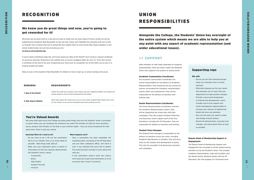16

17

#### >> SUPPORT

**With members of staff solely dedicated to academic representation, there are others within the Students' Union who supports the systems at various levels.**

#### Academic Communities Coordinator

**Our Academic Communities Coordinator has overall responsibility for the delivery of Academic Representation. They should be the key contact for queries surrounding the Academic representation system within your department. They will be responsible for the delivery of elections and training reps.**

#### Senior Representation Coordinator.

**The Senior Representation Coordinator oversees the Academic Representation system. They will be supporting the school reps with their campaigns. They also support Student Collectives and Executives which support each of the Vice Presidents, including the VP Education. They are responsible for delivery of elections and training.**

#### Student Voice Manager

We know you do great stuff as a rep and we want to make sure we shout about it! Every month we will be **publishing the Academic Rep Newsletter on the rep hub, where we'll highlight the amazing stuff you've told us through You're Impact that you're doing! We also collate these to write termly Rep Impact Updates so the whole student body can see how amazing you are.**  su.rhul.ac.uk/academicreps

**The Student Voice Manager is responsible for the delivery of elections across the union, including Academic Rep Elections in October. They will focus more on the creation and development of policy. This role has oversight of all democratic practices and campaigns.**

#### Deputy Head of Membership Support & Engagement

**The Deputy Head of Membership Support and Engagement has oversight of all the student-facing activities run by the Students' Union. This includes academic representation, clubs and societies, and the Advice Centre. Working closely with the VP Education, this role engages at a University level.**

### <span id="page-8-0"></span>**RECOGNITION**

### We know you do great things and now, you're going to get rewarded for it!

**If you've done something really fab, we'll even award you Rep of the Month! You'll receive a special certificate, an exclusive interview featured on the website and, of course, bragging rights for your CV. You'll also receive a certificate at the end of the year recognising your hard work as recognition for all the effort you've put in to making student life better.**

**Keep an eye on the Academic Rep Newsletter for details on how to sign up, or email voice@su.rhul.ac.uk.** 

### UNION RESPONSIBILITIES

Alongside the College, the Students' Union has oversight of the entire system which means we are able to help you at any point with any aspect of academic representation (and wider educational issues).

#### Supporting reps

#### We will:

- **Ensure you are fairly elected through either our volunteer form or online elections.**
- **Effectively prepare you for your duties and empower you to work with your department to make positive changes.**
- **Provide a year-round programme of training and development, which includes one-to-one support and career development opportunities to increase your chances of getting that dream job once you graduate.**
- **Give you the tools you need to create real change around campus.**
- **Record all achievements, successes and changes, and shout about them as loud as possible.**

| <b>REWARDS</b>       | <b>REQUIREMENTS</b>                                                                                                                                        |
|----------------------|------------------------------------------------------------------------------------------------------------------------------------------------------------|
| 1. Rep of the Month  | Submit the stuff you're doing to Your Impact and your sabbatical officers will choose the<br>winner based on who has best displayed the SU values!         |
| 2. Rep Impact Update | We'll shout about the things you're up to to the whole student body! Submit your stuff<br>to Your Impact so we can let everybody know how amazing you are. |

#### You're Valued Awards

**We know staff right across the College are doing great things and now the Students' Union is providing a system where you can recognise this whenever you want! The member of staff can work anywhere across campus, from Estates, to The Hub, to your seminar leader – they can all be recognised for their great work. There is only one criteria:**

#### Amazing! What do I need to do?

- **All you have to do is fill out the nomination form on our website. Give us as much detail as possible - little things really add up!**
- **Make sure your submission gives us plenty of information on how the nominee demonstrates the Students' Union's values:**
- **Trustworthy**
- **Brave**
- **High Quality**
- **Student Focused**
- **Inclusive**

#### What happens next?

- **Once a nomination has been submitted, the awarding panel, consisting of the VP Education and one other sabbatical officer, will check it over. If you selected that you'd like to deliver the award yourself, we'll get in touch about this with you.**
- **If the nomination doesn't meet the criteria, we'll email you to get more information or to let you know why it wasn't successful.**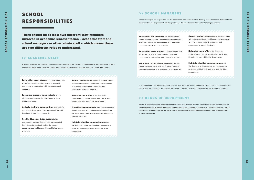$\sigma$ 

### <span id="page-9-0"></span>**SCHOOL** RESPONSIBILITIES

#### >> ACADEMIC STAFF

**Academic staff are responsible for actioning and developing the delivery of the Academic Representation system within their department. Working closely with department managers and the Students' Union, they should:**

Ensure that every student **on every programme within the department has access to a named course rep, in conjunction with the department manager.**

Encourage students to participate **in rep elections, and provide the time/space to do so (where possible).**

Actively facilitate opportunities **and tools for course and department reps to communicate with the students that they represent.**

Use the Students' Union system **to log examples of positive changes that have resulted from students' feedback and/or the work of academic reps (guidance will be published on our website).**

Support and develop **academic representation within the department and foster an environment whereby reps are valued, supported and encouraged to submit feedback.**

Help raise the profile **of the Academic Representation system overall, and course and department reps within the department.**

Proactively communicate **with their course and department reps about relevant information from the department, such as any issues, developments, meeting dates etc.**

Maintain effective communication **with the Students' Union, ensuring key messages are cascaded within departments and the SU as appropriate.**

There should be at least two different staff members involved in academic representation – academic staff and school managers or other admin staff – which means there are two different roles to understand.

### >> SCHOOL MANAGERS

**School managers are responsible for the operational and administrative delivery of the Academic Representation system within the department. Working with department administrators, school managers should:**

Ensure that SSC meetings **are organised in a timely manner and that the meetings are conducted effectively, with minutes circulated and outcomes communicated as soon as possible.**

Ensure that every student **on every programme within the department has access to a named course rep, in conjunction with the academic lead.**

Maintain a record of course reps **within the department and liaise with the Students' Union if they become aware of any changes or inaccuracies.** Support and develop **academic representation within the department and foster an environment whereby reps are valued, supported and encouraged to submit feedback.**

Help raise the profile **of the Academic Representation system overall, and course and department reps within the department.**

Maintain effective communication **with the Students' Union ensuring key messages are cascaded within the department and the SU as appropriate.**

**It is appreciated that administrators will be secretaries to SSC meetings in most cases but school managers will, in line with the managing responsibilities, be responsible for the work of administrators within this system.**

#### >> HEADS OF DEPARTMENT

**Heads of department and heads of school also play a part in the process. They are ultimately accountable for the delivery of the Academic Representation system and should play a large role in the promotion and cultural investment within the system. As a part of this, they should also cascade information to both academic and administrative staff.**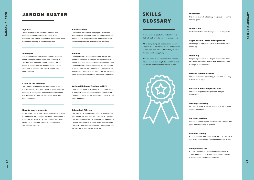### <span id="page-10-0"></span>JARGON BUSTER SKILLS Teamwork

#### Agenda

**This is a list of items due to be covered at a meeting, in the order they are going to be discussed. You should receive this around one week before the meeting is due to take place.**

#### Apologies

**Any member who is unable to attend a meeting sends apologies to the committee secretary in advance. The apologies are usually read out or noted at the start of the meeting. If you cannot attend for any reason you should always send your apologies.**

#### Chair of the meeting

**The chair of a meeting is responsible for ensuring that the whole thing runs smoothly. They keep the meeting to the agenda and ensure that everyone has a chance to speak by facilitating equal and open discussion.**

#### Hard to reach students

**A term used by the sector to indicate students who, for many reasons, may not be able to partake in the full university experience. This includes, but is not limited to, commuting students, mature students and student parents.**

#### Matter arising

**This is used for updates on progress of actions from previous meetings and is your opportunity to discuss where things are up to, and how to solve any further problems that may have occurred.**

#### Minutes

**The minutes of a meeting should be an accurate record of what was discussed, actions that were agreed and who is responsible for completing them. The minutes of a previous meeting will be checked at the start of the next meeting and any errors will be corrected. Minutes are a useful tool for following up on actions that might not have been completed.**

#### National Union of Students (NUS)

**The National Union of Students is a confederation of all the students' unions throughout the United Kingdom. It is the central organisation for all of the affiliated unions.**

#### Sabbatical Officers

**Your sabbatical officers are a team of five full-time elected officers who lead the direction of the Union. They sit on the highest decision making meetings in College, ensuring that student voice is represented. They also campaign and lobby for the changes you want to see in their respective areas.**

**The ability to work effectively in a group or team to achieve goals.**

#### Leadership

**To show initiative and show good leadership skills.**

#### Organisation / time management

**To manage and prioritise your workload and time effectively.**

#### Listening

**Are you a good listener? Do you concentrate fully on what is being said rather than just hearing the message of the speaker?**

#### Written communication

**The ability to write accurately, clearly and concisely in a variety of styles.**

#### Research and analytical skills

**The ability to gather, interpret and analyse information.**

#### Strategic thinking

**You have a vision of where you want to be and are working to achieve it.**

#### Decision making

**The ability to make good decisions that support any goals you are hoping to achieve.**

#### Problem solving

**You can identify a problem, work out how to solve it and make a decision on the implementation of a fix.**

#### Delegation skills

**You are confident in delegating responsibility to others members of a team to give them a taste of leadership and keep them motivated.**

 $\overline{2}$ 

### SKILLS GLOSSARY

**You'll acquire a lot of skills within this role that will be beneficial for your career goals.** 

**When completing job applications, potential employers will be looking for the skills you've gained from this role, and how they relate to the post you'll be applying for.** 

**Here are some of the key areas that you can include in your covering letters and CV to help you on the pathway to that dream career.**

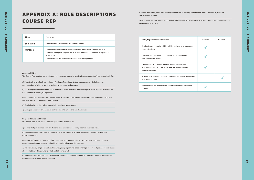|      | <b>Essential</b> | <b>Desirable</b> |
|------|------------------|------------------|
| t    |                  |                  |
|      |                  |                  |
|      |                  |                  |
| ely/ |                  |                  |
|      |                  |                  |

#### Accountabilities

**The Course Rep position plays a key role in improving students' academic experience. You'll be accountable for:**

**a) Proactively and effectively gathering feedback from students that you represent – building up an understanding of what is working well and what could be improved.**

**b) Exercising influence through a range of relationships, networks and meetings to achieve positive change on behalf of the students you represent.**

**c) Communicating progress and the outcomes of feedback to students – to ensure they understand what has, and will, happen as a result of their feedback.**

**d) Escalating issues that affect students beyond your programme.**

**e) Acting as a positive ambassador for the Students' Union and academic reps.**

#### Responsibilities and Duties:

**In order to fulfil these accountabilities, you will be expected to:**

**a) Ensure that you connect with all students that you represent and present a balanced view.**

**b) Engage with underrepresented and hard to reach students, actively seeking out minority voices and representing them.**

**c) Attend Staff-Student Committee (SSC) meetings and prepare effectively for those meetings by reading** 

**agendas, minutes and papers, and putting important items on the agenda.**

**d) Maintain strong ongoing relationships with your programme leader/manager/head, and provide regular input about what is working well and what could be improved.**

**e) Work in partnership with staff within your programme and department to co-create solutions and positive developments that will benefit students.**

| Title            | Course Rep                                                                                                                                                                                                                         |
|------------------|------------------------------------------------------------------------------------------------------------------------------------------------------------------------------------------------------------------------------------|
| <b>Selection</b> | Elected within your specific programme cohort.                                                                                                                                                                                     |
| <b>Purpose</b>   | To effectively represent students' academic interests at programme level.<br>To create change at programme level that improves the academic experience<br>of students.<br>To escalate any issues that exist beyond your programme. |

# <span id="page-11-0"></span>APPENDIX A: ROLE DESCRIPTIONS COURSE REP

**f) Where applicable, work with the department rep to actively engage with, and participate in, Periodic Departmental Reviews.**

**g) Work together with students, university staff and the Students' Union to ensure the success of the Academic Representative system.** 

#### **Skills, Experience and Qualities**

**Excellent communication skills – ability to listen and represent views effectively.**

**Willingness to learn and build a good understanding of education policy issues.**

**Commitment to diversity, equality and inclusion along with a willingness to proactively seek out voices that are underrepresented.**

**Ability to use technology and social media to network effectively with other students.**

**Willingness to get involved and represent students' academic interests.**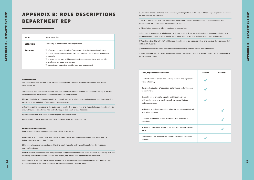25

#### Accountabilities

**The Department Rep position plays a key role in improving students' academic experience. You will be accountable for:** 

**a) Proactively and effectively gathering feedback from course reps – building up an understanding of what is working well and what could be improved across your department.**

**b) Exercising influence at department level through a range of relationships, networks and meetings to achieve positive change on behalf of the students you represent.**

**c) Communicating progress and the outcomes of feedback to course reps and students in your department – to ensure they understand what has, and will, happen as a result of their feedback.**

**d) Escalating issues that affect students beyond your department.**

**e) Acting as a positive ambassador for the Students' Union and academic reps.**

#### Responsibilities and Duties:

**In order to fulfil these accountabilities, you will be expected to:**

**a) Ensure that you connect with, and regularly meet, course reps within your department and present a balanced view based on their feedback.**

**b) Engage with underrepresented and hard to reach students, actively seeking out minority voices and representing them.**

**c) Chair Staff-Student Committee (SSC) meetings and prepare effectively for those meetings by working with key University contacts to develop agendas and papers, and ensure that agendas reflect key issues.**

**d) Contribute to Periodic Departmental Reviews, where applicable, ensuring engagement and attendance of course reps in order for them to present a comprehensive and balanced view.**

| <b>Title</b>     | Department Rep                                                                                                                                                                                                                                                                                                                                        |
|------------------|-------------------------------------------------------------------------------------------------------------------------------------------------------------------------------------------------------------------------------------------------------------------------------------------------------------------------------------------------------|
| <b>Selection</b> | Elected by students within your department.                                                                                                                                                                                                                                                                                                           |
| <b>Purpose</b>   | To effectively represent students' academic interests at department level.<br>To create change at department level that improves the academic experience<br>of students.<br>To engage course reps within your department, support them and identify<br>where issues are department-wide.<br>To escalate any issues that exist beyond your department. |

# APPENDIX B: ROLE DESCRIPTIONS DEPARTMENT REP

**e) Undertake the role of Curriculum Consultant, working with departments and the College to provide feedback on, and validate, new courses.**

**f) Work in partnership with staff within your department to ensure the outcomes of annual reviews are implemented and ensure its inclusion in the SSC agenda.**

**g) Attend other department level meetings as appropriate.**

**h) Maintain strong ongoing relationships with your head of department, department manager and other key university contacts, and provide regular input about what is working well and what could be improved.**

**i) Work in partnership with staff within your department to co-create solutions and positive developments that will benefit students.**

**j) Provide feedback and share best practice with other department, course and school reps.**

**k) Work together with students, University staff and the Students' Union to ensure the success of the Academic Representative system.**

#### **Skills, Experience and Qualities**

**Excellent communication skills – ability to listen and represent views effectively.**

**Basic understanding of education policy issues and willingness to learn more.**

**Commitment to diversity, equality and inclusion along with a willingness to proactively seek out voices that are underrepresented.**

**Ability to use technology and social media to network effectively with other students.**

**Experience of leading others, either at Royal Holloway or elsewhere.**

**Ability to motivate and inspire other reps and support them to thrive.**

**Willingness to get involved and represent students' academic interests.**

|                                                                                  | <b>Essential</b> | <b>Desirable</b> |
|----------------------------------------------------------------------------------|------------------|------------------|
| t                                                                                |                  |                  |
| ss                                                                               |                  |                  |
|                                                                                  |                  |                  |
| ely/                                                                             |                  |                  |
|                                                                                  |                  |                  |
| o                                                                                |                  |                  |
| ֖֖֖֖֖֖֖֖֧֖֖֖֧֧֖֧֧֪֪֪֪֪֪֪֪֪֪֪֪֪֪֪֪֪֪֪֪֪֪֪֪֪֪֪֪֪֪֪֚֚֚֚֚֚֚֚֚֚֚֚֚֚֚֚֚֚֚֚֚֚֡֝֝֓֞֝֬֝֓֞ |                  |                  |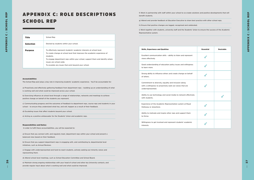|     | <b>Essential</b> | <b>Desirable</b> |
|-----|------------------|------------------|
| t   |                  |                  |
| SS. |                  |                  |
| f   |                  |                  |
|     |                  |                  |
| ely |                  |                  |
|     |                  |                  |
|     |                  |                  |
|     |                  |                  |

#### Accountabilities

**The School Rep post plays a key role in improving students' academic experience. You'll be accountable for:** 

**a) Proactively and effectively gathering feedback from department reps – building up an understanding of what is working well and what could be improved across your school.**

**b) Exercising influence at school level through a range of relationships, networks and meetings to achieve positive change on behalf of the students you represent.**

**c) Communicating progress and the outcomes of feedback to department reps, course reps and students in your school – to ensure they understand what has, and will, happen as a result of their feedback.**

**d) Escalating issues that affect students beyond your school.**

**e) Acting as a positive ambassador for the Students' Union and academic reps.**

#### Responsibilities and Duties:

 **In order to fulfil these accountabilities, you will be expected to:**

**a) Ensure that you connect with, and regularly meet, department reps within your school and present a balanced view based on their feedback.**

**b) Ensure that you support department reps in engaging with, and contributing to, departmental level initiatives, such as Annual Reviews.**

**c) Engage with underrepresented and hard-to-reach students, actively seeking out minority voices and representing them.**

**d) Attend school level meetings, such as School Education Committee and School Board.**

**e) Maintain strong ongoing relationships with your head of school and other key University contacts, and provide regular input about what is working well and what could be improved.**

Ability to use technology and social media to network effectively **with students.**

| <b>Title</b>     | School Rep                                                                                                                                                                                                                                                                                                                            |
|------------------|---------------------------------------------------------------------------------------------------------------------------------------------------------------------------------------------------------------------------------------------------------------------------------------------------------------------------------------|
| <b>Selection</b> | Elected by students within your school.                                                                                                                                                                                                                                                                                               |
| <b>Purpose</b>   | To effectively represent students' academic interests at school level.<br>To create change at school level that improves the academic experience of<br>students.<br>To engage department reps within your school, support them and identify where<br>issues are school-wide.<br>To escalate any issues that exist beyond your school. |

# APPENDIX C: ROLE DESCRIPTIONS SCHOOL REP

**f) Work in partnership with staff within your school to co-create solutions and positive developments that will benefit students.**

**g) Attend and provide feedback at Education Executive to share best practice with other school reps.**

**h) Ensure that positive changes are logged, recognised and celebrated.**

**i) Work together with students, university staff and the Students' Union to ensure the success of the Academic Representative system.**

#### **Skills, Experience and Qualities**

**Excellent communication skills – ability to listen and represent views effectively.**

**Good understanding of education policy issues and willingness to learn more.**

**Strong ability to influence others and create change on behalf of others.**

**Commitment to diversity, equality and inclusion along with a willingness to proactively seek out voices that are underrepresented.**

**Experience of the Academic Representation system at Royal Holloway or elsewhere.**

**Ability to motivate and inspire other reps and support them to thrive.**

**Willingness to get involved and represent students' academic interests.**